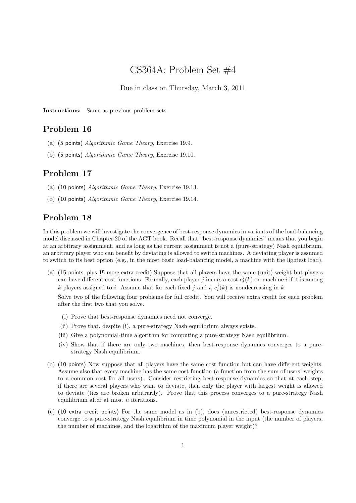# CS364A: Problem Set #4

Due in class on Thursday, March 3, 2011

Instructions: Same as previous problem sets.

## Problem 16

- (a) (5 points) Algorithmic Game Theory, Exercise 19.9.
- (b) (5 points) Algorithmic Game Theory, Exercise 19.10.

### Problem 17

- (a) (10 points) Algorithmic Game Theory, Exercise 19.13.
- (b) (10 points) Algorithmic Game Theory, Exercise 19.14.

### Problem 18

In this problem we will investigate the convergence of best-response dynamics in variants of the load-balancing model discussed in Chapter 20 of the AGT book. Recall that "best-response dynamics" means that you begin at an arbitrary assignment, and as long as the current assignment is not a (pure-strategy) Nash equilibrium, an arbitrary player who can benefit by deviating is allowed to switch machines. A deviating player is assumed to switch to its best option (e.g., in the most basic load-balancing model, a machine with the lightest load).

(a) (15 points, plus 15 more extra credit) Suppose that all players have the same (unit) weight but players can have different cost functions. Formally, each player j incurs a cost  $c_i^j(k)$  on machine i if it is among k players assigned to *i*. Assume that for each fixed *j* and *i*,  $c_i^j(k)$  is nondecreasing in *k*.

Solve two of the following four problems for full credit. You will receive extra credit for each problem after the first two that you solve.

- (i) Prove that best-response dynamics need not converge.
- (ii) Prove that, despite (i), a pure-strategy Nash equilibrium always exists.
- (iii) Give a polynomial-time algorithm for computing a pure-strategy Nash equilibrium.
- (iv) Show that if there are only two machines, then best-response dynamics converges to a purestrategy Nash equilibrium.
- (b) (10 points) Now suppose that all players have the same cost function but can have different weights. Assume also that every machine has the same cost function (a function from the sum of users' weights to a common cost for all users). Consider restricting best-response dynamics so that at each step, if there are several players who want to deviate, then only the player with largest weight is allowed to deviate (ties are broken arbitrarily). Prove that this process converges to a pure-strategy Nash equilibrium after at most  $n$  iterations.
- (c) (10 extra credit points) For the same model as in (b), does (unrestricted) best-response dynamics converge to a pure-strategy Nash equilibrium in time polynomial in the input (the number of players, the number of machines, and the logarithm of the maximum player weight)?